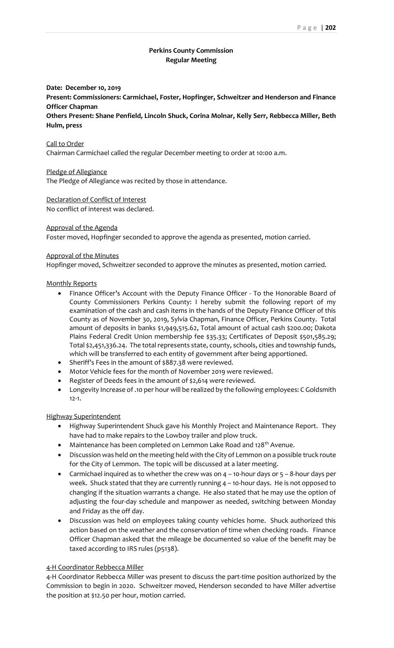### **Perkins County Commission Regular Meeting**

# **Date: December 10, 2019 Present: Commissioners: Carmichael, Foster, Hopfinger, Schweitzer and Henderson and Finance Officer Chapman**

**Others Present: Shane Penfield, Lincoln Shuck, Corina Molnar, Kelly Serr, Rebbecca Miller, Beth Hulm, press**

### Call to Order Chairman Carmichael called the regular December meeting to order at 10:00 a.m.

#### Pledge of Allegiance

The Pledge of Allegiance was recited by those in attendance.

## Declaration of Conflict of Interest

No conflict of interest was declared.

### Approval of the Agenda

Foster moved, Hopfinger seconded to approve the agenda as presented, motion carried.

### Approval of the Minutes

Hopfinger moved, Schweitzer seconded to approve the minutes as presented, motion carried.

### Monthly Reports

- Finance Officer's Account with the Deputy Finance Officer To the Honorable Board of County Commissioners Perkins County: I hereby submit the following report of my examination of the cash and cash items in the hands of the Deputy Finance Officer of this County as of November 30, 2019, Sylvia Chapman, Finance Officer, Perkins County. Total amount of deposits in banks \$1,949,515.62, Total amount of actual cash \$200.00; Dakota Plains Federal Credit Union membership fee \$35.33; Certificates of Deposit \$501,585.29; Total \$2,451,336.24. The total represents state, county, schools, cities and township funds, which will be transferred to each entity of government after being apportioned.
- Sheriff's Fees in the amount of \$887.38 were reviewed.
- Motor Vehicle fees for the month of November 2019 were reviewed.
- Register of Deeds fees in the amount of \$2,614 were reviewed.
- Longevity Increase of .10 per hour will be realized by the following employees: C Goldsmith 12-1.

### Highway Superintendent

- Highway Superintendent Shuck gave his Monthly Project and Maintenance Report. They have had to make repairs to the Lowboy trailer and plow truck.
- Maintenance has been completed on Lemmon Lake Road and  $128<sup>th</sup>$  Avenue.
- Discussion was held on the meeting held with the City of Lemmon on a possible truck route for the City of Lemmon. The topic will be discussed at a later meeting.
- Carmichael inquired as to whether the crew was on 4 10-hour days or 5 8-hour days per week. Shuck stated that they are currently running 4 – 10-hour days. He is not opposed to changing if the situation warrants a change. He also stated that he may use the option of adjusting the four-day schedule and manpower as needed, switching between Monday and Friday as the off day.
- Discussion was held on employees taking county vehicles home. Shuck authorized this action based on the weather and the conservation of time when checking roads. Finance Officer Chapman asked that the mileage be documented so value of the benefit may be taxed according to IRS rules (p5138).

### 4-H Coordinator Rebbecca Miller

4-H Coordinator Rebbecca Miller was present to discuss the part-time position authorized by the Commission to begin in 2020. Schweitzer moved, Henderson seconded to have Miller advertise the position at \$12.50 per hour, motion carried.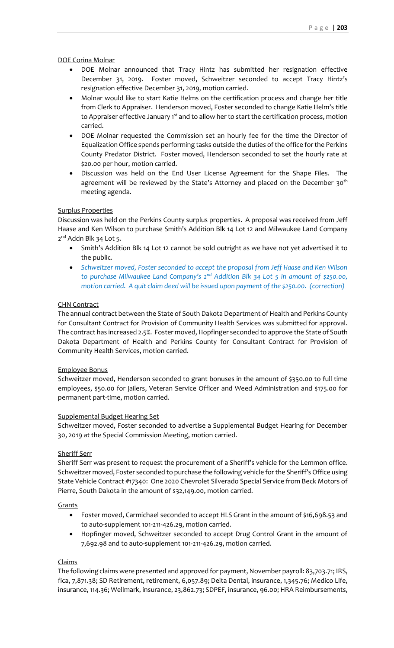DOE Corina Molnar

- DOE Molnar announced that Tracy Hintz has submitted her resignation effective December 31, 2019. Foster moved, Schweitzer seconded to accept Tracy Hintz's resignation effective December 31, 2019, motion carried.
- Molnar would like to start Katie Helms on the certification process and change her title from Clerk to Appraiser. Henderson moved, Foster seconded to change Katie Helm's title to Appraiser effective January 1<sup>st</sup> and to allow her to start the certification process, motion carried.
- DOE Molnar requested the Commission set an hourly fee for the time the Director of Equalization Office spends performing tasks outside the duties of the office for the Perkins County Predator District. Foster moved, Henderson seconded to set the hourly rate at \$20.00 per hour, motion carried.
- Discussion was held on the End User License Agreement for the Shape Files. The agreement will be reviewed by the State's Attorney and placed on the December 30<sup>th</sup> meeting agenda.

#### Surplus Properties

Discussion was held on the Perkins County surplus properties. A proposal was received from Jeff Haase and Ken Wilson to purchase Smith's Addition Blk 14 Lot 12 and Milwaukee Land Company 2<sup>nd</sup> Addn Blk 34 Lot 5.

- Smith's Addition Blk 14 Lot 12 cannot be sold outright as we have not yet advertised it to the public.
- *Schweitzer moved, Foster seconded to accept the proposal from Jeff Haase and Ken Wilson to purchase Milwaukee Land Company's 2nd Addition Blk 34 Lot 5 in amount of \$250.00, motion carried. A quit claim deed will be issued upon payment of the \$250.00. (correction)*

#### CHN Contract

The annual contract between the State of South Dakota Department of Health and Perkins County for Consultant Contract for Provision of Community Health Services was submitted for approval. The contract has increased 2.5%. Foster moved, Hopfinger seconded to approve the State of South Dakota Department of Health and Perkins County for Consultant Contract for Provision of Community Health Services, motion carried.

#### Employee Bonus

Schweitzer moved, Henderson seconded to grant bonuses in the amount of \$350.00 to full time employees, \$50.00 for jailers, Veteran Service Officer and Weed Administration and \$175.00 for permanent part-time, motion carried.

#### Supplemental Budget Hearing Set

Schweitzer moved, Foster seconded to advertise a Supplemental Budget Hearing for December 30, 2019 at the Special Commission Meeting, motion carried.

#### Sheriff Serr

Sheriff Serr was present to request the procurement of a Sheriff's vehicle for the Lemmon office. Schweitzer moved, Foster seconded to purchase the following vehicle for the Sheriff's Office using State Vehicle Contract #17340: One 2020 Chevrolet Silverado Special Service from Beck Motors of Pierre, South Dakota in the amount of \$32,149.00, motion carried.

**Grants** 

- Foster moved, Carmichael seconded to accept HLS Grant in the amount of \$16,698.53 and to auto-supplement 101-211-426.29, motion carried.
- Hopfinger moved, Schweitzer seconded to accept Drug Control Grant in the amount of 7,692.98 and to auto-supplement 101-211-426.29, motion carried.

#### Claims

The following claims were presented and approved for payment, November payroll: 83,703.71; IRS, fica, 7,871.38; SD Retirement, retirement, 6,057.89; Delta Dental, insurance, 1,345.76; Medico Life, insurance, 114.36; Wellmark, insurance, 23,862.73; SDPEF, insurance, 96.00; HRA Reimbursements,